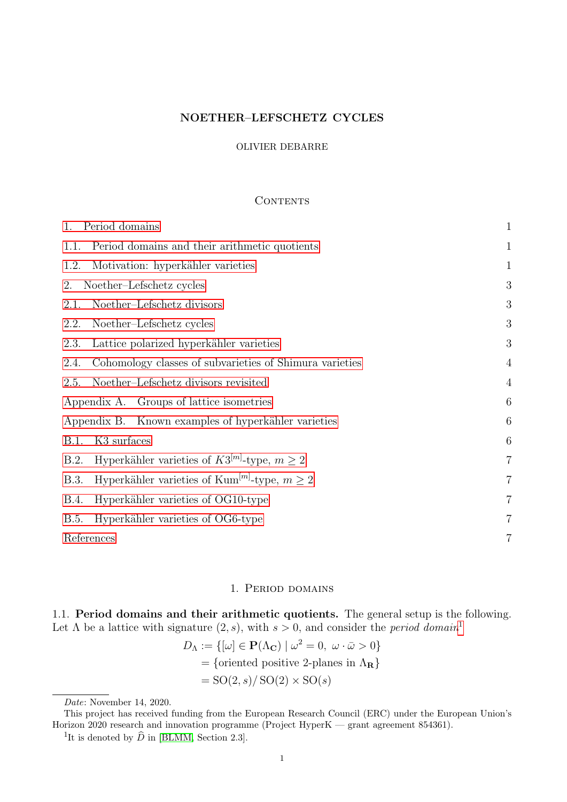# NOETHER–LEFSCHETZ CYCLES

### OLIVIER DEBARRE

## <span id="page-0-2"></span>**CONTENTS**

| 1.<br>Period domains                                                         | $\mathbf{1}$     |
|------------------------------------------------------------------------------|------------------|
| Period domains and their arithmetic quotients<br>1.1.                        | $\mathbf{1}$     |
| Motivation: hyperkähler varieties<br>1.2.                                    | $\mathbf{1}$     |
| Noether-Lefschetz cycles<br>2.                                               | 3                |
| Noether-Lefschetz divisors<br>2.1.                                           | $\boldsymbol{3}$ |
| Noether-Lefschetz cycles<br>2.2.                                             | 3                |
| Lattice polarized hyperkähler varieties<br>2.3.                              | 3                |
| Cohomology classes of subvarieties of Shimura varieties<br>2.4.              | $\overline{4}$   |
| Noether-Lefschetz divisors revisited<br>2.5.                                 | $\overline{4}$   |
| Appendix A. Groups of lattice isometries                                     | $6\phantom{.}6$  |
| Appendix B. Known examples of hyperkähler varieties                          | 6                |
| K <sub>3</sub> surfaces<br>B.1.                                              | 6                |
| Hyperkähler varieties of $K3^{[m]}$ -type, $m \geq 2$<br>B.2.                | $\overline{7}$   |
| Hyperkähler varieties of Kum <sup>[m]</sup> -type, $m \geq 2$<br><b>B.3.</b> | $\overline{7}$   |
| Hyperkähler varieties of OG10-type<br><b>B.4.</b>                            | $\overline{7}$   |
| Hyperkähler varieties of OG6-type<br>B.5.                                    | $\overline{7}$   |
| References                                                                   | $\overline{7}$   |

# 1. Period domains

<span id="page-0-1"></span><span id="page-0-0"></span>1.1. Period domains and their arithmetic quotients. The general setup is the following. Let  $\Lambda$  be a lattice with signature  $(2, s)$ , with  $s > 0$ , and consider the *period domain*<sup>[1](#page-0-3)</sup>

$$
D_{\Lambda} := \{ [\omega] \in \mathbf{P}(\Lambda_{\mathbf{C}}) \mid \omega^2 = 0, \ \omega \cdot \bar{\omega} > 0 \}
$$
  
= {oriented positive 2-planes in  $\Lambda_{\mathbf{R}}$ }  
= SO(2, s)/ SO(2) × SO(s)

Date: November 14, 2020.

This project has received funding from the European Research Council (ERC) under the European Union's Horizon 2020 research and innovation programme (Project HyperK — grant agreement 854361).

<span id="page-0-3"></span><sup>&</sup>lt;sup>1</sup>It is denoted by  $\widehat{D}$  in [\[BLMM,](#page-7-2) Section 2.3].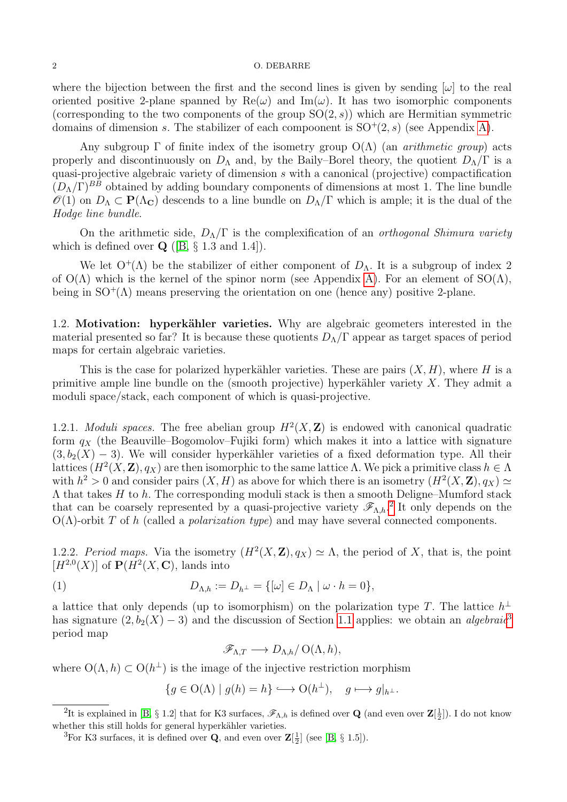#### 2 O. DEBARRE

where the bijection between the first and the second lines is given by sending  $[\omega]$  to the real oriented positive 2-plane spanned by  $\text{Re}(\omega)$  and  $\text{Im}(\omega)$ . It has two isomorphic components (corresponding to the two components of the group  $SO(2, s)$ ) which are Hermitian symmetric domains of dimension s. The stabilizer of each compoonent is  $SO^+(2, s)$  (see Appendix [A\)](#page-5-0).

Any subgroup  $\Gamma$  of finite index of the isometry group  $O(\Lambda)$  (an *arithmetic group*) acts properly and discontinuously on  $D_{\Lambda}$  and, by the Baily–Borel theory, the quotient  $D_{\Lambda}/\Gamma$  is a quasi-projective algebraic variety of dimension s with a canonical (projective) compactification  $(D<sub>Λ</sub>/\Gamma)^{BB}$  obtained by adding boundary components of dimensions at most 1. The line bundle  $\mathscr{O}(1)$  on  $D_{\Lambda} \subset \mathbf{P}(\Lambda_{\mathbf{C}})$  descends to a line bundle on  $D_{\Lambda}/\Gamma$  which is ample; it is the dual of the Hodge line bundle.

On the arithmetic side,  $D_{\Lambda}/\Gamma$  is the complexification of an *orthogonal Shimura variety* which is defined over  $\mathbf{Q}$  ([\[B,](#page-7-3) § 1.3 and 1.4]).

We let  $O^+(\Lambda)$  be the stabilizer of either component of  $D_\Lambda$ . It is a subgroup of index 2 of  $O(\Lambda)$  which is the kernel of the spinor norm (see Appendix [A\)](#page-5-0). For an element of  $SO(\Lambda)$ , being in  $SO^+(\Lambda)$  means preserving the orientation on one (hence any) positive 2-plane.

<span id="page-1-0"></span>1.2. Motivation: hyperkähler varieties. Why are algebraic geometers interested in the material presented so far? It is because these quotients  $D_{\Lambda}/\Gamma$  appear as target spaces of period maps for certain algebraic varieties.

This is the case for polarized hyperkähler varieties. These are pairs  $(X, H)$ , where H is a primitive ample line bundle on the (smooth projective) hyperkähler variety  $X$ . They admit a moduli space/stack, each component of which is quasi-projective.

1.2.1. *Moduli spaces*. The free abelian group  $H^2(X, \mathbb{Z})$  is endowed with canonical quadratic form  $q_X$  (the Beauville–Bogomolov–Fujiki form) which makes it into a lattice with signature  $(3, b_2(X) - 3)$ . We will consider hyperkähler varieties of a fixed deformation type. All their lattices  $(H^2(X, \mathbf{Z}), q_X)$  are then isomorphic to the same lattice  $\Lambda$ . We pick a primitive class  $h \in \Lambda$ with  $h^2 > 0$  and consider pairs  $(X, H)$  as above for which there is an isometry  $(H^2(X, \mathbf{Z}), q_X) \simeq$  $\Lambda$  that takes H to h. The corresponding moduli stack is then a smooth Deligne–Mumford stack that can be coarsely represented by a quasi-projective variety  $\mathscr{F}_{\Lambda,h}$ <sup>[2](#page-1-1)</sup> It only depends on the  $O(\Lambda)$ -orbit T of h (called a *polarization type*) and may have several connected components.

1.2.2. Period maps. Via the isometry  $(H^2(X, \mathbb{Z}), q_X) \simeq \Lambda$ , the period of X, that is, the point  $[H^{2,0}(X)]$  of  $\mathbf{P}(H^2(X,\mathbf{C}), \text{ lands into})$ 

(1) 
$$
D_{\Lambda,h} := D_{h^{\perp}} = \{ [\omega] \in D_{\Lambda} \mid \omega \cdot h = 0 \},
$$

a lattice that only depends (up to isomorphism) on the polarization type T. The lattice  $h^{\perp}$ has signature  $(2, b_2(X) - 3)$  $(2, b_2(X) - 3)$  $(2, b_2(X) - 3)$  and the discussion of Section [1.1](#page-0-1) applies: we obtain an *algebraic*<sup>3</sup> period map

<span id="page-1-3"></span>
$$
\mathscr{F}_{\Lambda,T} \longrightarrow D_{\Lambda,h}/\mathrm{O}(\Lambda,h),
$$

where  $O(\Lambda, h) \subset O(h^{\perp})$  is the image of the injective restriction morphism

$$
\{g \in O(\Lambda) \mid g(h) = h\} \longleftrightarrow O(h^{\perp}), \quad g \longmapsto g|_{h^{\perp}}.
$$

<span id="page-1-1"></span><sup>&</sup>lt;sup>2</sup>It is explained in [\[B,](#page-7-3) § 1.2] that for K3 surfaces,  $\mathscr{F}_{\Lambda,h}$  is defined over **Q** (and even over  $\mathbf{Z}[\frac{1}{2}]$ ). I do not know whether this still holds for general hyperkähler varieties.

<span id="page-1-2"></span><sup>&</sup>lt;sup>3</sup>For K3 surfaces, it is defined over **Q**, and even over  $\mathbf{Z}[\frac{1}{2}]$  (see [\[B,](#page-7-3) § 1.5]).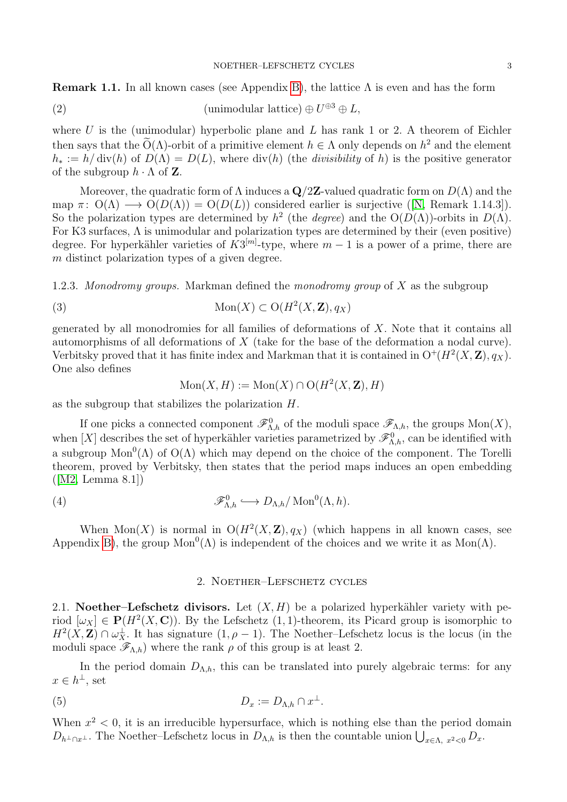**Remark 1.1.** In all known cases (see Appendix [B\)](#page-6-0), the lattice  $\Lambda$  is even and has the form

(2) (unimodular lattice) 
$$
\oplus U^{\oplus 3} \oplus L
$$
,

where  $U$  is the (unimodular) hyperbolic plane and  $L$  has rank 1 or 2. A theorem of Eichler then says that the  $\tilde{O}(\Lambda)$ -orbit of a primitive element  $h \in \Lambda$  only depends on  $h^2$  and the element  $h_* := h/\text{div}(h)$  of  $D(\Lambda) = D(L)$ , where  $\text{div}(h)$  (the *divisibility* of h) is the positive generator of the subgroup  $h \cdot \Lambda$  of **Z**.

Moreover, the quadratic form of  $\Lambda$  induces a  $\mathbf{Q}/2\mathbf{Z}$ -valued quadratic form on  $D(\Lambda)$  and the map $\pi: O(\Lambda) \longrightarrow O(D(\Lambda)) = O(D(L))$  considered earlier is surjective ([\[N,](#page-7-4) Remark 1.14.3]). So the polarization types are determined by  $h^2$  (the *degree*) and the  $O(D(\Lambda))$ -orbits in  $D(\Lambda)$ . For K3 surfaces, Λ is unimodular and polarization types are determined by their (even positive) degree. For hyperkähler varieties of  $K3^{[m]}$ -type, where  $m-1$  is a power of a prime, there are m distinct polarization types of a given degree.

1.2.3. Monodromy groups. Markman defined the monodromy group of  $X$  as the subgroup

(3) 
$$
\text{Mon}(X) \subset \text{O}(H^2(X, \mathbf{Z}), q_X)
$$

generated by all monodromies for all families of deformations of  $X$ . Note that it contains all automorphisms of all deformations of  $X$  (take for the base of the deformation a nodal curve). Verbitsky proved that it has finite index and Markman that it is contained in  $O^+(H^2(X,\mathbf{Z}),q_X)$ . One also defines

$$
Mon(X, H) := Mon(X) \cap O(H^2(X, \mathbf{Z}), H)
$$

as the subgroup that stabilizes the polarization H.

If one picks a connected component  $\mathscr{F}_{\Lambda,h}^0$  of the moduli space  $\mathscr{F}_{\Lambda,h}$ , the groups  $Mon(X)$ , when [X] describes the set of hyperkähler varieties parametrized by  $\mathscr{F}^0_{\Lambda,h}$ , can be identified with a subgroup  $Mon^0(\Lambda)$  of  $O(\Lambda)$  which may depend on the choice of the component. The Torelli theorem, proved by Verbitsky, then states that the period maps induces an open embedding  $([M2, Lemma 8.1])$  $([M2, Lemma 8.1])$  $([M2, Lemma 8.1])$ 

(4) 
$$
\mathscr{F}_{\Lambda,h}^0 \hookrightarrow D_{\Lambda,h}/\operatorname{Mon}^0(\Lambda,h).
$$

When Mon(X) is normal in  $O(H^2(X, \mathbb{Z}), q_X)$  (which happens in all known cases, see Appendix [B\)](#page-6-0), the group  $Mon^{0}(\Lambda)$  is independent of the choices and we write it as  $Mon(\Lambda)$ .

## <span id="page-2-3"></span><span id="page-2-2"></span>2. Noether–Lefschetz cycles

<span id="page-2-1"></span><span id="page-2-0"></span>2.1. Noether–Lefschetz divisors. Let  $(X, H)$  be a polarized hyperkähler variety with period  $[\omega_X] \in \mathbf{P}(H^2(X, \mathbf{C}))$ . By the Lefschetz  $(1, 1)$ -theorem, its Picard group is isomorphic to  $H^2(X,\mathbf{Z})\cap \omega_X^{\perp}$ . It has signature  $(1,\rho-1)$ . The Noether–Lefschetz locus is the locus (in the moduli space  $\mathscr{F}_{\Lambda,h}$ ) where the rank  $\rho$  of this group is at least 2.

In the period domain  $D_{\Lambda,h}$ , this can be translated into purely algebraic terms: for any  $x \in h^{\perp}$ , set

$$
(5) \t\t D_x := D_{\Lambda,h} \cap x^{\perp}.
$$

When  $x^2$  < 0, it is an irreducible hypersurface, which is nothing else than the period domain  $D_{h^{\perp}\cap x^{\perp}}$ . The Noether–Lefschetz locus in  $D_{\Lambda,h}$  is then the countable union  $\bigcup_{x\in\Lambda,\ x^2<0} D_x$ .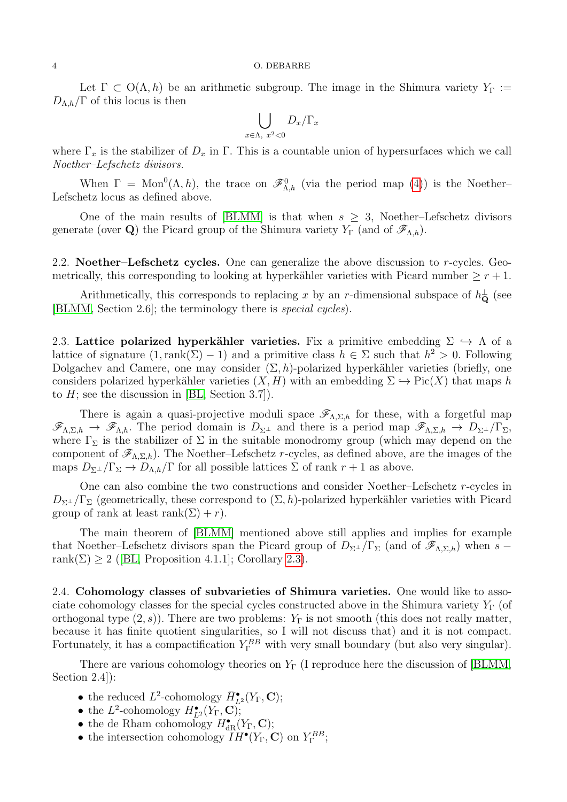Let  $\Gamma \subset O(\Lambda, h)$  be an arithmetic subgroup. The image in the Shimura variety  $Y_{\Gamma} :=$  $D_{\Lambda,h}/\Gamma$  of this locus is then

$$
\bigcup_{x \in \Lambda, x^2 < 0} D_x / \Gamma_x
$$

where  $\Gamma_x$  is the stabilizer of  $D_x$  in  $\Gamma$ . This is a countable union of hypersurfaces which we call Noether–Lefschetz divisors.

When  $\Gamma = \text{Mon}^0(\Lambda, h)$ , the trace on  $\mathscr{F}^0_{\Lambda, h}$  (via the period map [\(4\)](#page-2-2)) is the Noether-Lefschetz locus as defined above.

One of the main results of [\[BLMM\]](#page-7-2) is that when  $s \geq 3$ , Noether–Lefschetz divisors generate (over **Q**) the Picard group of the Shimura variety  $Y_{\Gamma}$  (and of  $\mathscr{F}_{\Lambda,h}$ ).

<span id="page-3-0"></span>2.2. Noether–Lefschetz cycles. One can generalize the above discussion to  $r$ -cycles. Geometrically, this corresponding to looking at hyperkähler varieties with Picard number  $\geq r+1$ .

Arithmetically, this corresponds to replacing x by an r-dimensional subspace of  $h_{\mathbf{Q}}^{\perp}$  (see [\[BLMM,](#page-7-2) Section 2.6]; the terminology there is special cycles).

<span id="page-3-1"></span>2.3. Lattice polarized hyperkähler varieties. Fix a primitive embedding  $\Sigma \hookrightarrow \Lambda$  of a lattice of signature  $(1, rank(\Sigma) - 1)$  and a primitive class  $h \in \Sigma$  such that  $h^2 > 0$ . Following Dolgachev and Camere, one may consider  $(\Sigma, h)$ -polarized hyperkähler varieties (briefly, one considers polarized hyperkähler varieties  $(X, H)$  with an embedding  $\Sigma \hookrightarrow Pic(X)$  that maps h to  $H$ ; see the discussion in [\[BL,](#page-7-6) Section 3.7]).

There is again a quasi-projective moduli space  $\mathscr{F}_{\Lambda,\Sigma,h}$  for these, with a forgetful map  $\mathscr{F}_{\Lambda,\Sigma,h} \to \mathscr{F}_{\Lambda,h}$ . The period domain is  $D_{\Sigma^{\perp}}$  and there is a period map  $\mathscr{F}_{\Lambda,\Sigma,h} \to D_{\Sigma^{\perp}}/\Gamma_{\Sigma}$ , where  $\Gamma_{\Sigma}$  is the stabilizer of  $\Sigma$  in the suitable monodromy group (which may depend on the component of  $\mathscr{F}_{\Lambda,\Sigma,h}$ ). The Noether–Lefschetz r-cycles, as defined above, are the images of the maps  $D_{\Sigma^{\perp}}/\Gamma_{\Sigma} \to D_{\Lambda,h}/\Gamma$  for all possible lattices  $\Sigma$  of rank  $r+1$  as above.

One can also combine the two constructions and consider Noether–Lefschetz r-cycles in  $D_{\Sigma^{\perp}}/\Gamma_{\Sigma}$  (geometrically, these correspond to  $(\Sigma, h)$ -polarized hyperkähler varieties with Picard group of rank at least rank $(\Sigma) + r$ ).

The main theorem of [\[BLMM\]](#page-7-2) mentioned above still applies and implies for example that Noether–Lefschetz divisors span the Picard group of  $D_{\Sigma^{\perp}}/\Gamma_{\Sigma}$  (and of  $\mathscr{F}_{\Lambda,\Sigma,h}$ ) when s – rank $(\Sigma) \geq 2$  $(\Sigma) \geq 2$  $(\Sigma) \geq 2$  ([\[BL,](#page-7-6) Proposition 4.1.1]; Corollary [2.3\)](#page-4-1).

<span id="page-3-2"></span>2.4. Cohomology classes of subvarieties of Shimura varieties. One would like to associate cohomology classes for the special cycles constructed above in the Shimura variety  $Y_{\Gamma}$  (of orthogonal type  $(2, s)$ ). There are two problems:  $Y_{\Gamma}$  is not smooth (this does not really matter, because it has finite quotient singularities, so I will not discuss that) and it is not compact. Fortunately, it has a compactification  $Y_{\Gamma}^{BB}$  with very small boundary (but also very singular).

There are various cohomology theories on  $Y_{\Gamma}$  (I reproduce here the discussion of [\[BLMM,](#page-7-2) Section 2.4]):

- the reduced  $L^2$ -cohomology  $\bar{H}_{L^2}^{\bullet}(Y_{\Gamma}, \mathbf{C});$
- the  $L^2$ -cohomology  $H_{L^2}^{\bullet}(Y_\Gamma, \mathbf{C})$ ;
- the de Rham cohomology  $H_{\text{dR}}^{\bullet}(Y_{\Gamma}, \mathbf{C});$
- the intersection cohomology  $IH^{\bullet}(Y_{\Gamma}, \mathbf{C})$  on  $Y_{\Gamma}^{BB}$ ;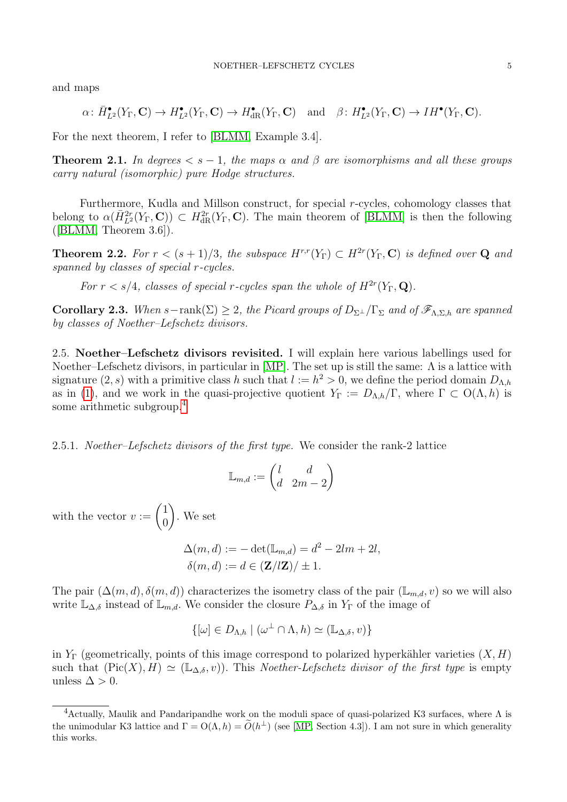and maps

$$
\alpha\colon \bar{H}_{L^2}^\bullet(Y_\Gamma,\mathbf{C})\to H_{L^2}^\bullet(Y_\Gamma,\mathbf{C})\to H_{\textup{dR}}^\bullet(Y_\Gamma,\mathbf{C})\quad\textup{and}\quad \beta\colon H_{L^2}^\bullet(Y_\Gamma,\mathbf{C})\to IH^\bullet(Y_\Gamma,\mathbf{C}).
$$

For the next theorem, I refer to [\[BLMM,](#page-7-2) Example 3.4].

**Theorem 2.1.** In degrees  $\lt s - 1$ , the maps  $\alpha$  and  $\beta$  are isomorphisms and all these groups carry natural (isomorphic) pure Hodge structures.

Furthermore, Kudla and Millson construct, for special r-cycles, cohomology classes that belong to  $\alpha(\bar{H}_{L^2}^{2r}(Y_{\Gamma}, \mathbf{C})) \subset H_{dR}^{2r}(Y_{\Gamma}, \mathbf{C})$ . The main theorem of [\[BLMM\]](#page-7-2) is then the following  $([BLMM, Theorem 3.6]).$  $([BLMM, Theorem 3.6]).$  $([BLMM, Theorem 3.6]).$ 

**Theorem 2.2.** For  $r < (s + 1)/3$ , the subspace  $H^{r,r}(Y_{\Gamma}) \subset H^{2r}(Y_{\Gamma}, \mathbb{C})$  is defined over **Q** and spanned by classes of special r-cycles.

For  $r < s/4$ , classes of special r-cycles span the whole of  $H^{2r}(Y_{\Gamma}, \mathbf{Q})$ .

<span id="page-4-1"></span>**Corollary 2.3.** When  $s$ -rank( $\Sigma$ )  $\geq$  2, the Picard groups of  $D_{\Sigma^{\perp}}/\Gamma_{\Sigma}$  and of  $\mathscr{F}_{\Lambda,\Sigma,h}$  are spanned by classes of Noether–Lefschetz divisors.

<span id="page-4-0"></span>2.5. Noether–Lefschetz divisors revisited. I will explain here various labellings used for Noether–Lefschetz divisors, in particular in [\[MP\]](#page-7-7). The set up is still the same:  $\Lambda$  is a lattice with signature  $(2, s)$  with a primitive class h such that  $l := h^2 > 0$ , we define the period domain  $D_{\Lambda,h}$ as in [\(1\)](#page-1-3), and we work in the quasi-projective quotient  $Y_{\Gamma} := D_{\Lambda,h}/\Gamma$ , where  $\Gamma \subset O(\Lambda, h)$  is some arithmetic subgroup.[4](#page-4-2)

2.5.1. Noether–Lefschetz divisors of the first type. We consider the rank-2 lattice

$$
\mathbb{L}_{m,d} := \begin{pmatrix} l & d \\ d & 2m - 2 \end{pmatrix}
$$

with the vector  $v := \begin{pmatrix} 1 \\ 0 \end{pmatrix}$  $\overline{0}$  $\setminus$ . We set

$$
\Delta(m, d) := -\det(\mathbb{L}_{m,d}) = d^2 - 2lm + 2l,
$$
  

$$
\delta(m, d) := d \in (\mathbf{Z}/l\mathbf{Z})/\pm 1.
$$

The pair  $(\Delta(m, d), \delta(m, d))$  characterizes the isometry class of the pair  $(\mathbb{L}_{m,d}, v)$  so we will also write  $\mathbb{L}_{\Delta,\delta}$  instead of  $\mathbb{L}_{m,d}$ . We consider the closure  $P_{\Delta,\delta}$  in Y<sub>Γ</sub> of the image of

$$
\{[\omega] \in D_{\Lambda,h} \mid (\omega^{\perp} \cap \Lambda, h) \simeq (\mathbb{L}_{\Delta,\delta}, v)\}
$$

in  $Y_{\Gamma}$  (geometrically, points of this image correspond to polarized hyperkähler varieties  $(X, H)$ such that  $(\text{Pic}(X), H) \simeq (\mathbb{L}_{\Delta,\delta}, v)$ . This Noether-Lefschetz divisor of the first type is empty unless  $\Delta > 0$ .

<span id="page-4-2"></span><sup>&</sup>lt;sup>4</sup>Actually, Maulik and Pandaripandhe work on the moduli space of quasi-polarized K3 surfaces, where  $\Lambda$  is the unimodular K3 lattice and  $\Gamma = O(\Lambda, h) = \widetilde{O}(h^{\perp})$  (see [\[MP,](#page-7-7) Section 4.3]). I am not sure in which generality this works.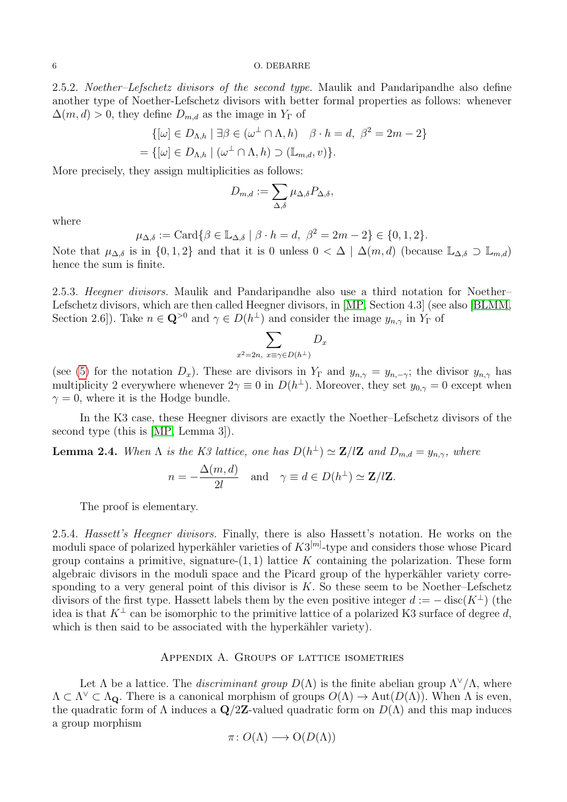6 O. DEBARRE

2.5.2. Noether–Lefschetz divisors of the second type. Maulik and Pandaripandhe also define another type of Noether-Lefschetz divisors with better formal properties as follows: whenever  $\Delta(m, d) > 0$ , they define  $D_{m,d}$  as the image in  $Y_{\Gamma}$  of

$$
\{[\omega] \in D_{\Lambda,h} \mid \exists \beta \in (\omega^{\perp} \cap \Lambda, h) \quad \beta \cdot h = d, \ \beta^2 = 2m - 2\}
$$

$$
= \{[\omega] \in D_{\Lambda,h} \mid (\omega^{\perp} \cap \Lambda, h) \supset (\mathbb{L}_{m,d}, v)\}.
$$

More precisely, they assign multiplicities as follows:

$$
D_{m,d} := \sum_{\Delta,\delta} \mu_{\Delta,\delta} P_{\Delta,\delta},
$$

where

$$
\mu_{\Delta,\delta} := \text{Card}\{\beta \in \mathbb{L}_{\Delta,\delta} \mid \beta \cdot h = d, \ \beta^2 = 2m - 2\} \in \{0, 1, 2\}.
$$

Note that  $\mu_{\Delta,\delta}$  is in  $\{0,1,2\}$  and that it is 0 unless  $0 < \Delta \mid \Delta(m,d)$  (because  $\mathbb{L}_{\Delta,\delta} \supset \mathbb{L}_{m,d}$ ) hence the sum is finite.

2.5.3. Heegner divisors. Maulik and Pandaripandhe also use a third notation for Noether– Lefschetz divisors, which are then called Heegner divisors, in [\[MP,](#page-7-7) Section 4.3] (see also [\[BLMM,](#page-7-2) Section 2.6]). Take  $n \in \mathbb{Q}^{>0}$  and  $\gamma \in D(h^{\perp})$  and consider the image  $y_{n,\gamma}$  in  $Y_{\Gamma}$  of

$$
\sum_{x^2=2n, x\equiv \gamma \in D(h^\perp)} D_x
$$

(see [\(5\)](#page-2-3) for the notation  $D_x$ ). These are divisors in Y<sub>Γ</sub> and  $y_{n,\gamma} = y_{n,-\gamma}$ ; the divisor  $y_{n,\gamma}$  has multiplicity 2 everywhere whenever  $2\gamma \equiv 0$  in  $D(h^{\perp})$ . Moreover, they set  $y_{0,\gamma} = 0$  except when  $\gamma = 0$ , where it is the Hodge bundle.

In the K3 case, these Heegner divisors are exactly the Noether–Lefschetz divisors of the second type (this is [\[MP,](#page-7-7) Lemma 3]).

**Lemma 2.4.** When  $\Lambda$  is the K3 lattice, one has  $D(h^{\perp}) \simeq \mathbb{Z}/l\mathbb{Z}$  and  $D_{m,d} = y_{n,\gamma}$ , where

$$
n = -\frac{\Delta(m, d)}{2l}
$$
 and  $\gamma \equiv d \in D(h^{\perp}) \simeq \mathbf{Z}/l\mathbf{Z}$ .

The proof is elementary.

2.5.4. Hassett's Heegner divisors. Finally, there is also Hassett's notation. He works on the moduli space of polarized hyperkähler varieties of  $K3^{[m]}$ -type and considers those whose Picard group contains a primitive, signature- $(1, 1)$  lattice K containing the polarization. These form algebraic divisors in the moduli space and the Picard group of the hyperkähler variety corresponding to a very general point of this divisor is  $K$ . So these seem to be Noether–Lefschetz divisors of the first type. Hassett labels them by the even positive integer  $d := -\text{disc}(K^{\perp})$  (the idea is that  $K^{\perp}$  can be isomorphic to the primitive lattice of a polarized K3 surface of degree d, which is then said to be associated with the hyperkähler variety).

### Appendix A. Groups of lattice isometries

<span id="page-5-0"></span>Let  $\Lambda$  be a lattice. The *discriminant group*  $D(\Lambda)$  is the finite abelian group  $\Lambda^{\vee}/\Lambda$ , where  $\Lambda \subset \Lambda^{\vee} \subset \Lambda_{\mathbf{Q}}$ . There is a canonical morphism of groups  $O(\Lambda) \to \text{Aut}(D(\Lambda))$ . When  $\Lambda$  is even, the quadratic form of  $\Lambda$  induces a  $\mathbf{Q}/2\mathbf{Z}$ -valued quadratic form on  $D(\Lambda)$  and this map induces a group morphism

$$
\pi \colon O(\Lambda) \longrightarrow O(D(\Lambda))
$$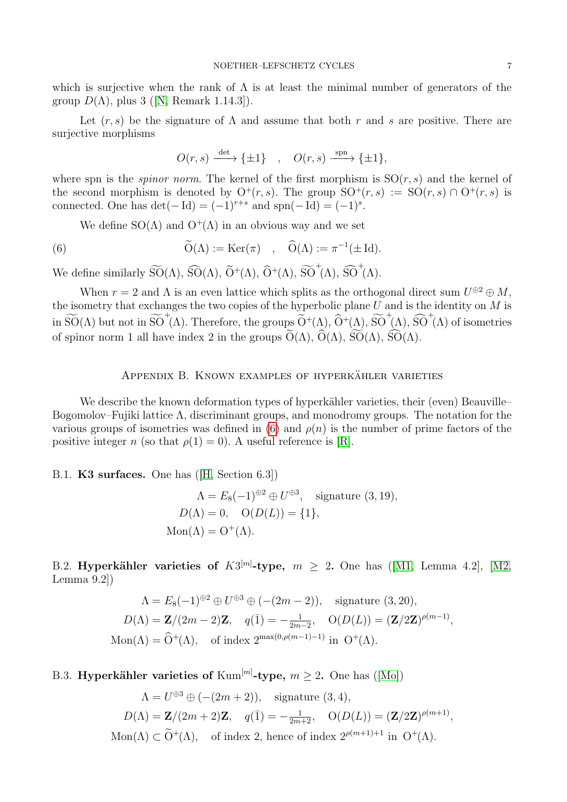which is surjective when the rank of  $\Lambda$  is at least the minimal number of generators of the group $D(\Lambda)$ , plus 3 ([\[N,](#page-7-4) Remark 1.14.3]).

Let  $(r, s)$  be the signature of  $\Lambda$  and assume that both r and s are positive. There are surjective morphisms

<span id="page-6-4"></span>
$$
O(r,s) \xrightarrow{\det} \{\pm 1\}, \quad O(r,s) \xrightarrow{\text{spn}} \{\pm 1\},
$$

where spn is the *spinor norm*. The kernel of the first morphism is  $SO(r, s)$  and the kernel of the second morphism is denoted by  $O^+(r,s)$ . The group  $SO^+(r,s) := SO(r,s) \cap O^+(r,s)$  is connected. One has  $\det(-\operatorname{Id}) = (-1)^{r+s}$  and  $\text{spn}(-\operatorname{Id}) = (-1)^s$ .

We define  $SO(\Lambda)$  and  $O^+(\Lambda)$  in an obvious way and we set

(6) 
$$
\widetilde{O}(\Lambda) := \text{Ker}(\pi) \quad , \quad \widehat{O}(\Lambda) := \pi^{-1}(\pm \text{Id}).
$$

We define similarly  $\widetilde{SO}(\Lambda)$ ,  $\widehat{SO}(\Lambda)$ ,  $\widetilde{O}^{+}(\Lambda)$ ,  $\widetilde{O}^{+}(\Lambda)$ ,  $\widetilde{SO}^{+}(\Lambda)$ ,  $\widetilde{SO}^{+}(\Lambda)$ .

When  $r = 2$  and  $\Lambda$  is an even lattice which splits as the orthogonal direct sum  $U^{\oplus 2} \oplus M$ , the isometry that exchanges the two copies of the hyperbolic plane  $U$  and is the identity on  $M$  is in  $\widetilde{SO}(\Lambda)$  but not in  $\widetilde{SO}^+(\Lambda)$ . Therefore, the groups  $\widetilde{O}^+(\Lambda)$ ,  $\widetilde{O}^+(\Lambda)$ ,  $\widetilde{SO}^+(\Lambda)$ ,  $\widetilde{SO}^+(\Lambda)$  of isometries of spinor norm 1 all have index 2 in the groups  $\widetilde{O}(\Lambda)$ ,  $\widetilde{O}(\Lambda)$ ,  $\widetilde{SO}(\Lambda)$ ,  $\widetilde{SO}(\Lambda)$ .

### APPENDIX B. KNOWN EXAMPLES OF HYPERKÄHLER VARIETIES

<span id="page-6-0"></span>We describe the known deformation types of hyperkähler varieties, their (even) Beauville– Bogomolov–Fujiki lattice Λ, discriminant groups, and monodromy groups. The notation for the various groups of isometries was defined in  $(6)$  and  $\rho(n)$  is the number of prime factors of the positive integer n (so that  $\rho(1) = 0$ ). A useful reference is [\[R\]](#page-7-8).

<span id="page-6-1"></span>B.1. K3 surfaces. One has([\[H,](#page-7-9) Section 6.3])

$$
\Lambda = E_8(-1)^{\oplus 2} \oplus U^{\oplus 3}, \text{ signature (3, 19)},
$$
  
\n
$$
D(\Lambda) = 0, \quad O(D(L)) = \{1\},
$$
  
\n
$$
Mon(\Lambda) = O^+(\Lambda).
$$

<span id="page-6-2"></span>B.2.Hyperkähler varieties of  $K3^{[m]}$ -type,  $m \geq 2$ . One has ([\[M1,](#page-7-10) Lemma 4.2], [\[M2,](#page-7-5) Lemma 9.2])

$$
\Lambda = E_8(-1)^{\oplus 2} \oplus U^{\oplus 3} \oplus (-(2m-2)), \text{ signature } (3, 20),
$$
  
\n
$$
D(\Lambda) = \mathbf{Z}/(2m-2)\mathbf{Z}, \quad q(\bar{1}) = -\frac{1}{2m-2}, \quad O(D(L)) = (\mathbf{Z}/2\mathbf{Z})^{\rho(m-1)},
$$
  
\n
$$
\text{Mon}(\Lambda) = \widehat{O}^+(\Lambda), \text{ of index } 2^{\max(0, \rho(m-1)-1)} \text{ in } O^+(\Lambda).
$$

<span id="page-6-3"></span>B.3.Hyperkähler varieties of  $\text{Kum}^{[m]}$ -type,  $m \geq 2$ . One has ([\[Mo\]](#page-7-11))

$$
\Lambda = U^{\oplus 3} \oplus (- (2m + 2)), \text{ signature } (3, 4),
$$
  
\n
$$
D(\Lambda) = \mathbf{Z}/(2m + 2)\mathbf{Z}, \quad q(\bar{1}) = -\frac{1}{2m+2}, \quad O(D(L)) = (\mathbf{Z}/2\mathbf{Z})^{\rho(m+1)},
$$
  
\n
$$
\text{Mon}(\Lambda) \subset \widetilde{O}^+(\Lambda), \text{ of index 2, hence of index } 2^{\rho(m+1)+1} \text{ in } O^+(\Lambda).
$$